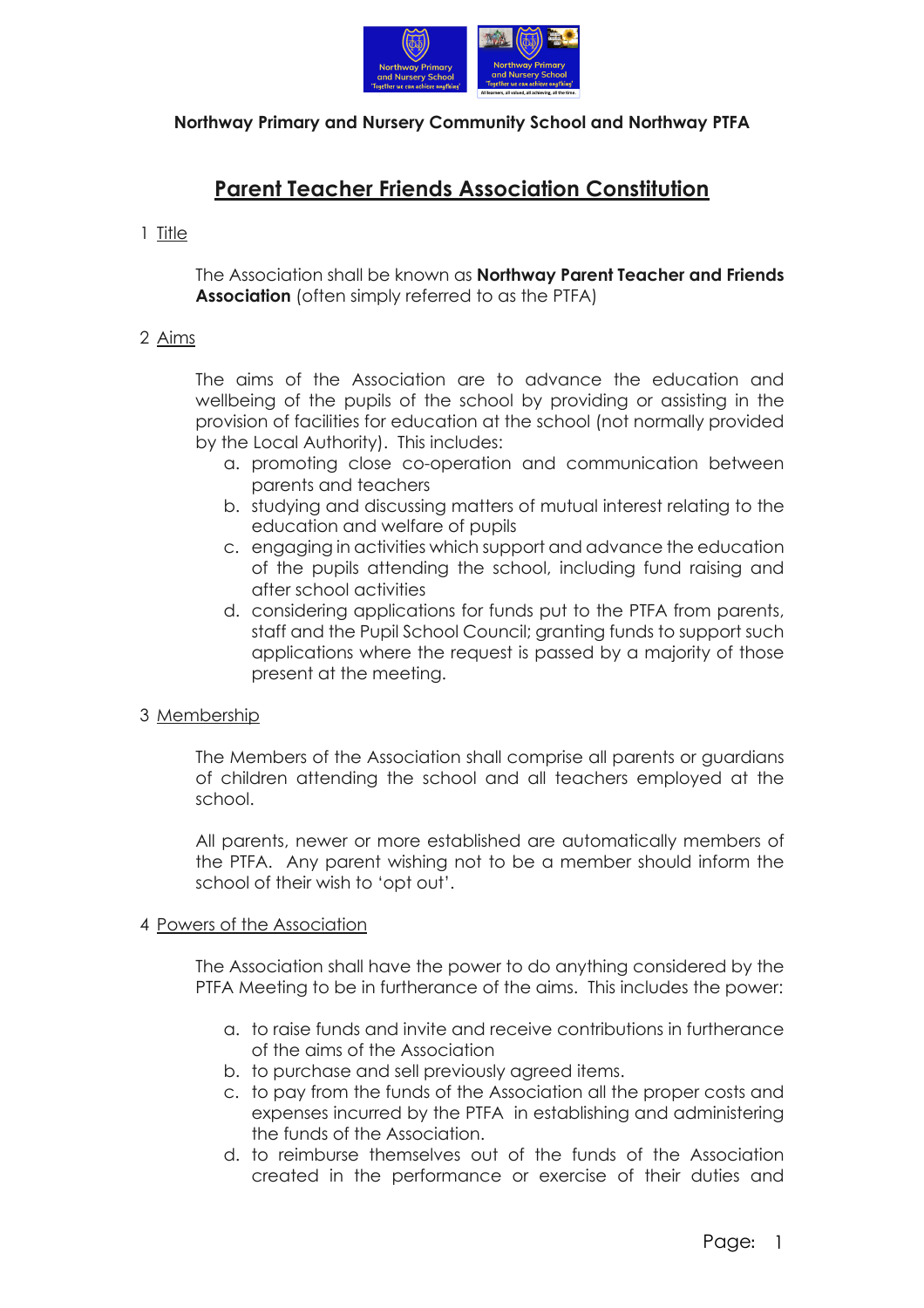

# **Northway Primary and Nursery Community School and Northway PTFA**

# **Parent Teacher Friends Association Constitution**

# 1 Title

The Association shall be known as **Northway Parent Teacher and Friends Association** (often simply referred to as the PTFA)

# 2 Aims

The aims of the Association are to advance the education and wellbeing of the pupils of the school by providing or assisting in the provision of facilities for education at the school (not normally provided by the Local Authority). This includes:

- a. promoting close co-operation and communication between parents and teachers
- b. studying and discussing matters of mutual interest relating to the education and welfare of pupils
- c. engaging in activities which support and advance the education of the pupils attending the school, including fund raising and after school activities
- d. considering applications for funds put to the PTFA from parents, staff and the Pupil School Council; granting funds to support such applications where the request is passed by a majority of those present at the meeting.

### 3 Membership

The Members of the Association shall comprise all parents or guardians of children attending the school and all teachers employed at the school.

All parents, newer or more established are automatically members of the PTFA. Any parent wishing not to be a member should inform the school of their wish to 'opt out'.

### 4 Powers of the Association

The Association shall have the power to do anything considered by the PTFA Meeting to be in furtherance of the aims. This includes the power:

- a. to raise funds and invite and receive contributions in furtherance of the aims of the Association
- b. to purchase and sell previously agreed items.
- c. to pay from the funds of the Association all the proper costs and expenses incurred by the PTFA in establishing and administering the funds of the Association.
- d. to reimburse themselves out of the funds of the Association created in the performance or exercise of their duties and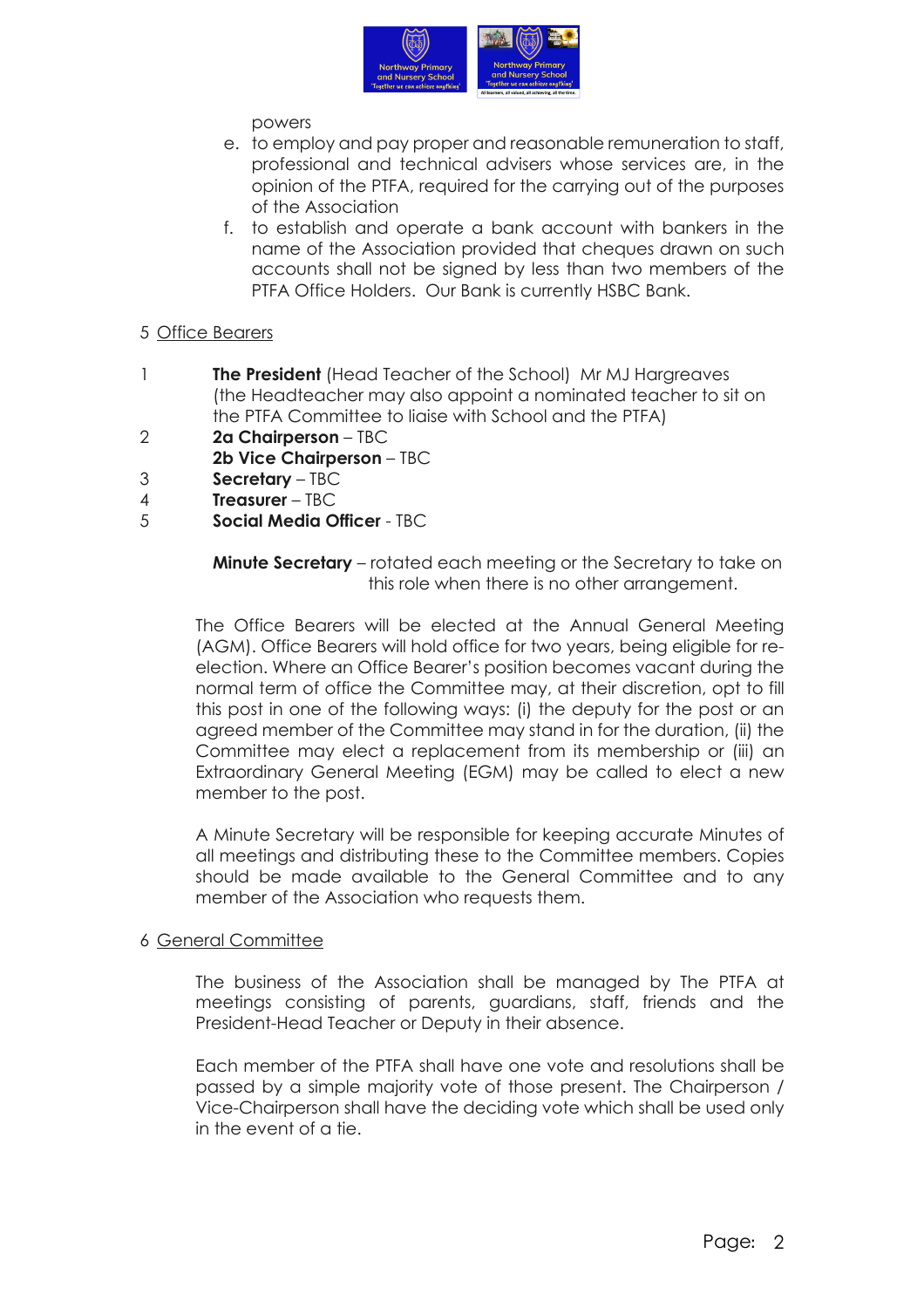

## powers

- e. to employ and pay proper and reasonable remuneration to staff, professional and technical advisers whose services are, in the opinion of the PTFA, required for the carrying out of the purposes of the Association
- f. to establish and operate a bank account with bankers in the name of the Association provided that cheques drawn on such accounts shall not be signed by less than two members of the PTFA Office Holders. Our Bank is currently HSBC Bank.

# 5 Office Bearers

- 1 **The President** (Head Teacher of the School) Mr MJ Hargreaves (the Headteacher may also appoint a nominated teacher to sit on the PTFA Committee to liaise with School and the PTFA)
- 2 **2a Chairperson** TBC
- **2b Vice Chairperson** TBC
- 3 **Secretary** TBC
- 4 **Treasurer** TBC
- 5 **Social Media Officer** TBC

**Minute Secretary** – rotated each meeting or the Secretary to take on this role when there is no other arrangement.

The Office Bearers will be elected at the Annual General Meeting (AGM). Office Bearers will hold office for two years, being eligible for reelection. Where an Office Bearer's position becomes vacant during the normal term of office the Committee may, at their discretion, opt to fill this post in one of the following ways: (i) the deputy for the post or an agreed member of the Committee may stand in for the duration, (ii) the Committee may elect a replacement from its membership or (iii) an Extraordinary General Meeting (EGM) may be called to elect a new member to the post.

A Minute Secretary will be responsible for keeping accurate Minutes of all meetings and distributing these to the Committee members. Copies should be made available to the General Committee and to any member of the Association who requests them.

### 6 General Committee

The business of the Association shall be managed by The PTFA at meetings consisting of parents, guardians, staff, friends and the President-Head Teacher or Deputy in their absence.

Each member of the PTFA shall have one vote and resolutions shall be passed by a simple majority vote of those present. The Chairperson / Vice-Chairperson shall have the deciding vote which shall be used only in the event of a tie.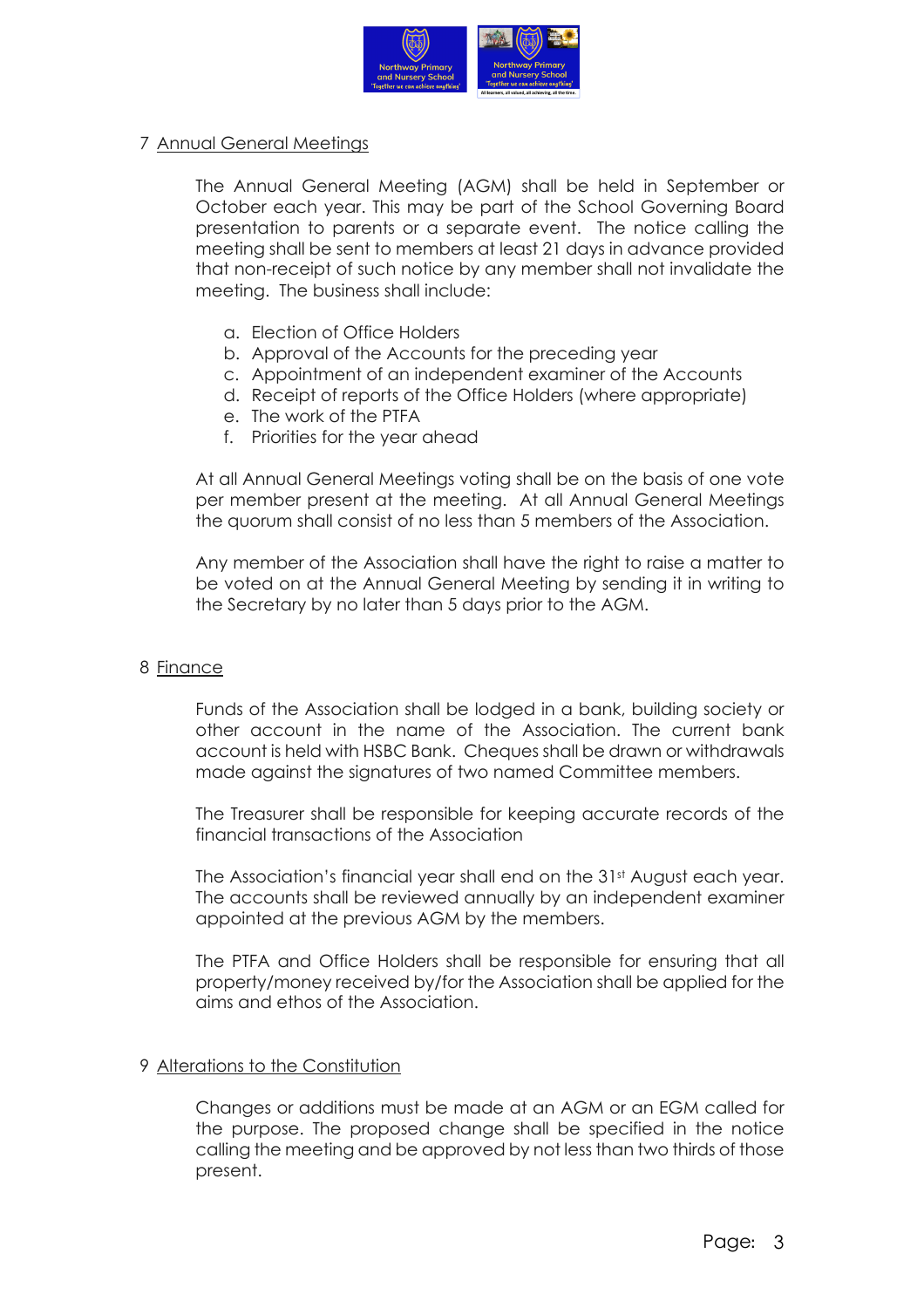

# 7 Annual General Meetings

The Annual General Meeting (AGM) shall be held in September or October each year. This may be part of the School Governing Board presentation to parents or a separate event. The notice calling the meeting shall be sent to members at least 21 days in advance provided that non-receipt of such notice by any member shall not invalidate the meeting. The business shall include:

- a. Election of Office Holders
- b. Approval of the Accounts for the preceding year
- c. Appointment of an independent examiner of the Accounts
- d. Receipt of reports of the Office Holders (where appropriate)
- e. The work of the PTFA
- f. Priorities for the year ahead

At all Annual General Meetings voting shall be on the basis of one vote per member present at the meeting. At all Annual General Meetings the quorum shall consist of no less than 5 members of the Association.

Any member of the Association shall have the right to raise a matter to be voted on at the Annual General Meeting by sending it in writing to the Secretary by no later than 5 days prior to the AGM.

### 8 Finance

Funds of the Association shall be lodged in a bank, building society or other account in the name of the Association. The current bank account is held with HSBC Bank. Cheques shall be drawn or withdrawals made against the signatures of two named Committee members.

The Treasurer shall be responsible for keeping accurate records of the financial transactions of the Association

The Association's financial year shall end on the 31<sup>st</sup> August each year. The accounts shall be reviewed annually by an independent examiner appointed at the previous AGM by the members.

The PTFA and Office Holders shall be responsible for ensuring that all property/money received by/for the Association shall be applied for the aims and ethos of the Association.

### 9 Alterations to the Constitution

Changes or additions must be made at an AGM or an EGM called for the purpose. The proposed change shall be specified in the notice calling the meeting and be approved by not less than two thirds of those present.